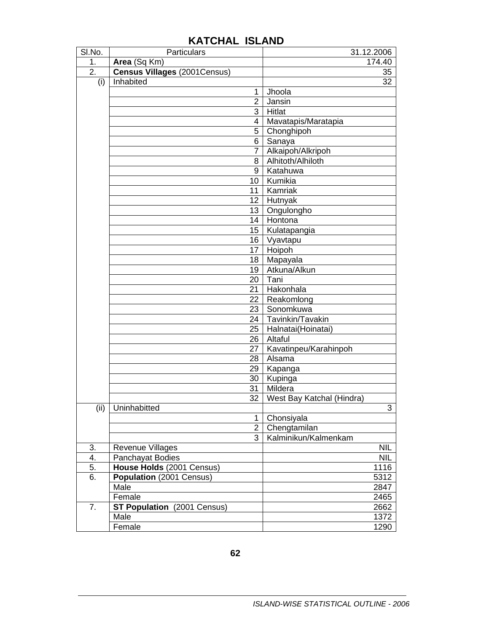| SI.No.                   | Particulars                           | 31.12.2006                |  |
|--------------------------|---------------------------------------|---------------------------|--|
| 1.                       | Area (Sq Km)                          | 174.40                    |  |
| 2.                       | <b>Census Villages (2001Census)</b>   | 35                        |  |
| (i)                      | Inhabited                             | 32                        |  |
|                          | $\mathbf{1}$                          | Jhoola                    |  |
|                          | $\overline{2}$                        | Jansin                    |  |
|                          | 3                                     | Hitlat                    |  |
|                          | 4                                     | Mavatapis/Maratapia       |  |
|                          | 5                                     | Chonghipoh                |  |
| 6<br>$\overline{7}$<br>8 |                                       | Sanaya                    |  |
|                          |                                       | Alkaipoh/Alkripoh         |  |
|                          |                                       | Alhitoth/Alhiloth         |  |
|                          | 9                                     | Katahuwa                  |  |
|                          | 10                                    | Kumikia                   |  |
|                          | 11                                    | Kamriak                   |  |
|                          |                                       | 12 Hutnyak                |  |
|                          |                                       | 13 Ongulongho             |  |
|                          |                                       | 14 Hontona                |  |
|                          |                                       | 15   Kulatapangia         |  |
|                          |                                       | 16 Vyavtapu               |  |
|                          | 17                                    | Hoipoh                    |  |
|                          | 18                                    | Mapayala                  |  |
|                          | 19                                    | Atkuna/Alkun              |  |
|                          | 20                                    | Tani                      |  |
|                          | 21                                    | Hakonhala                 |  |
|                          | 22                                    | Reakomlong                |  |
|                          | 23                                    | Sonomkuwa                 |  |
|                          | 24                                    | Tavinkin/Tavakin          |  |
|                          | 25                                    | Halnatai(Hoinatai)        |  |
|                          | 26                                    | Altaful                   |  |
|                          | 27                                    | Kavatinpeu/Karahinpoh     |  |
|                          | 28                                    | Alsama                    |  |
|                          | 29                                    | Kapanga                   |  |
|                          | 30                                    | Kupinga                   |  |
|                          | 31                                    | Mildera                   |  |
|                          | 32                                    | West Bay Katchal (Hindra) |  |
| (ii)                     | Uninhabitted                          | 3                         |  |
|                          | $\mathbf{1}$                          | Chonsiyala                |  |
|                          | $\overline{2}$                        | Chengtamilan              |  |
|                          | 3                                     | Kalminikun/Kalmenkam      |  |
| 3.                       | Revenue Villages                      | <b>NIL</b>                |  |
| 4.                       | Panchayat Bodies                      | <b>NIL</b>                |  |
| 5.                       | House Holds (2001 Census)             | 1116                      |  |
| 6.                       | Population (2001 Census)              | 5312                      |  |
|                          | Male                                  | 2847                      |  |
|                          | Female                                | 2465                      |  |
| 7.                       | <b>ST Population</b><br>(2001 Census) | 2662                      |  |
|                          | Male                                  | 1372                      |  |
|                          | Female                                | 1290                      |  |

## **KATCHAL ISLAND**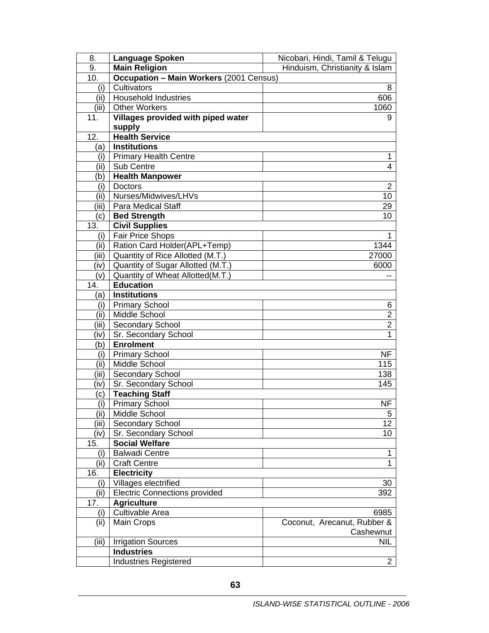| 8.    | <b>Language Spoken</b>                         | Nicobari, Hindi, Tamil & Telugu |  |
|-------|------------------------------------------------|---------------------------------|--|
| 9.    | <b>Main Religion</b>                           | Hinduism, Christianity & Islam  |  |
| 10.   | <b>Occupation - Main Workers (2001 Census)</b> |                                 |  |
| (i)   | Cultivators                                    | 8                               |  |
| (ii)  | <b>Household Industries</b>                    | 606                             |  |
| (iii) | <b>Other Workers</b>                           | 1060                            |  |
| 11.   | Villages provided with piped water             | 9                               |  |
|       | supply                                         |                                 |  |
| 12.   | <b>Health Service</b>                          |                                 |  |
| (a)   | <b>Institutions</b>                            |                                 |  |
| (i)   | <b>Primary Health Centre</b>                   | 1                               |  |
| (ii)  | Sub Centre                                     | 4                               |  |
| (b)   | <b>Health Manpower</b>                         |                                 |  |
| (i)   | <b>Doctors</b>                                 | 2                               |  |
| (ii)  | Nurses/Midwives/LHVs                           | 10                              |  |
| (iii) | <b>Para Medical Staff</b>                      | 29                              |  |
| (c)   | <b>Bed Strength</b>                            | 10                              |  |
| 13.   | <b>Civil Supplies</b>                          |                                 |  |
| (i)   | Fair Price Shops                               | 1                               |  |
| (ii)  | Ration Card Holder(APL+Temp)                   | 1344                            |  |
| (iii) | Quantity of Rice Allotted (M.T.)               | 27000                           |  |
| (iv)  | Quantity of Sugar Allotted (M.T.)              | 6000                            |  |
| (v)   | Quantity of Wheat Allotted(M.T.)               |                                 |  |
| 14.   | <b>Education</b>                               |                                 |  |
| (a)   | <b>Institutions</b>                            |                                 |  |
| (i)   | <b>Primary School</b>                          | 6                               |  |
| (ii)  | Middle School                                  | $\overline{2}$                  |  |
| (iii) | Secondary School                               | $\overline{2}$                  |  |
| (iv)  | Sr. Secondary School                           | 1                               |  |
| (b)   | <b>Enrolment</b>                               |                                 |  |
| (i)   | <b>Primary School</b>                          | <b>NF</b>                       |  |
| (ii)  | Middle School                                  | 115                             |  |
| (iii) | Secondary School                               | 138                             |  |
| (iv)  | Sr. Secondary School                           | 145                             |  |
| (c)   | <b>Teaching Staff</b>                          |                                 |  |
| (i)   | <b>Primary School</b>                          | NF                              |  |
| (ii)  | Middle School                                  | 5                               |  |
| (iii) | Secondary School                               | 12 <sup>2</sup>                 |  |
| (iv)  | Sr. Secondary School                           | 10                              |  |
| 15.   | <b>Social Welfare</b>                          |                                 |  |
| (i)   | <b>Balwadi Centre</b>                          | 1                               |  |
| (ii)  | <b>Craft Centre</b>                            | $\overline{1}$                  |  |
| 16.   | <b>Electricity</b>                             |                                 |  |
| (i)   | Villages electrified                           | 30                              |  |
| (ii)  | <b>Electric Connections provided</b>           | 392                             |  |
| 17.   | <b>Agriculture</b>                             |                                 |  |
| (i)   | Cultivable Area                                | 6985                            |  |
| (ii)  | Main Crops                                     | Coconut, Arecanut, Rubber &     |  |
|       |                                                | Cashewnut                       |  |
| (iii) | <b>Irrigation Sources</b>                      | NIL                             |  |
|       | <b>Industries</b>                              |                                 |  |
|       | <b>Industries Registered</b>                   | $\overline{2}$                  |  |